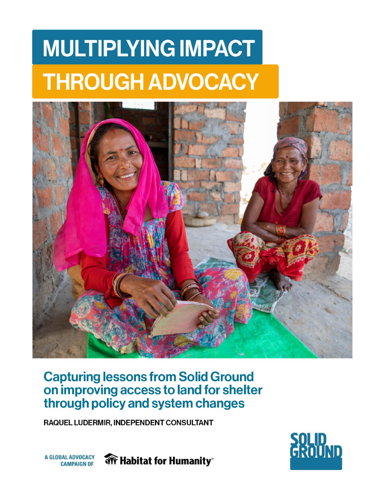# **MULTIPLYING IMPACT THROUGH ADVOCACY**



# **Capturing lessons from Solid Ground<br>on improving access to land for shelter** through policy and system changes

RAQUEL LUDERMIR, INDEPENDENT CONSULTANT



**A GLOBAL ADVOCACY CAMPAIGN OF** 

**WFF** Habitat for Humanity®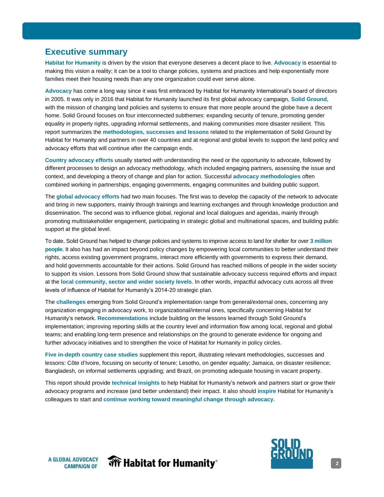## <span id="page-1-0"></span>**Executive summary**

**Habitat for Humanity** is driven by the vision that everyone deserves a decent place to live. **Advocacy** is essential to making this vision a reality; it can be a tool to change policies, systems and practices and help exponentially more families meet their housing needs than any one organization could ever serve alone.

**Advocacy** has come a long way since it was first embraced by Habitat for Humanity International's board of directors in 2005. It was only in 2016 that Habitat for Humanity launched its first global advocacy campaign, **Solid Ground**, with the mission of changing land policies and systems to ensure that more people around the globe have a decent home. Solid Ground focuses on four interconnected subthemes: expanding security of tenure, promoting gender equality in property rights, upgrading informal settlements, and making communities more disaster resilient. This report summarizes the **methodologies, successes and lessons** related to the implementation of Solid Ground by Habitat for Humanity and partners in over 40 countries and at regional and global levels to support the land policy and advocacy efforts that will continue after the campaign ends.

**Country advocacy efforts** usually started with understanding the need or the opportunity to advocate, followed by different processes to design an advocacy methodology, which included engaging partners, assessing the issue and context, and developing a theory of change and plan for action. Successful **advocacy methodologies** often combined working in partnerships, engaging governments, engaging communities and building public support.

The **global advocacy efforts** had two main focuses. The first was to develop the capacity of the network to advocate and bring in new supporters, mainly through trainings and learning exchanges and through knowledge production and dissemination. The second was to influence global, regional and local dialogues and agendas, mainly through promoting multistakeholder engagement, participating in strategic global and multinational spaces, and building public support at the global level.

To date, Solid Ground has helped to change policies and systems to improve access to land for shelter for over **3 million people**. It also has had an impact beyond policy changes by empowering local communities to better understand their rights, access existing government programs, interact more efficiently with governments to express their demand, and hold governments accountable for their actions. Solid Ground has reached millions of people in the wider society to support its vision. Lessons from Solid Ground show that sustainable advocacy success required efforts and impact at the **local community, sector and wider society levels**. In other words, impactful advocacy cuts across all three levels of influence of Habitat for Humanity's 2014-20 strategic plan.

The **challenges** emerging from Solid Ground's implementation range from general/external ones, concerning any organization engaging in advocacy work, to organizational/internal ones, specifically concerning Habitat for Humanity's network. **Recommendations** include building on the lessons learned through Solid Ground's implementation; improving reporting skills at the country level and information flow among local, regional and global teams; and enabling long-term presence and relationships on the ground to generate evidence for ongoing and further advocacy initiatives and to strengthen the voice of Habitat for Humanity in policy circles.

**Five in-depth country case studies** supplement this report, illustrating relevant methodologies, successes and lessons: Côte d'Ivoire, focusing on security of tenure; Lesotho, on gender equality; Jamaica, on disaster resilience; Bangladesh, on informal settlements upgrading; and Brazil, on promoting adequate housing in vacant property.

This report should provide **technical insights** to help Habitat for Humanity's network and partners start or grow their advocacy programs and increase (and better understand) their impact. It also should **inspire** Habitat for Humanity's colleagues to start and **continue working toward meaningful change through advocacy**.



**Wr Habitat for Humanity** 

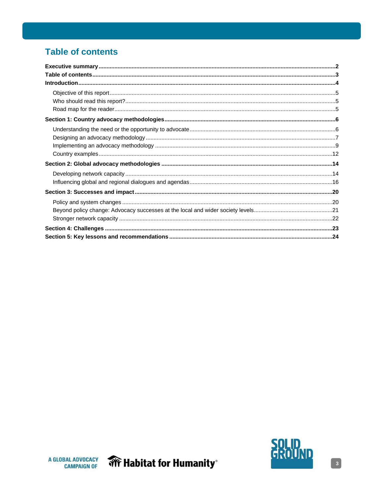# **Table of contents**



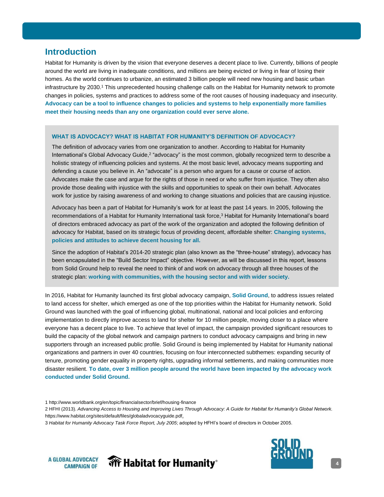### <span id="page-3-0"></span>**Introduction**

Habitat for Humanity is driven by the vision that everyone deserves a decent place to live. Currently, billions of people around the world are living in inadequate conditions, and millions are being evicted or living in fear of losing their homes. As the world continues to urbanize, an estimated 3 billion people will need new housing and basic urban infrastructure by 2030.<sup>1</sup> This unprecedented housing challenge calls on the Habitat for Humanity network to promote changes in policies, systems and practices to address some of the root causes of housing inadequacy and insecurity. **Advocacy can be a tool to influence changes to policies and systems to help exponentially more families meet their housing needs than any one organization could ever serve alone.**

#### **WHAT IS ADVOCACY? WHAT IS HABITAT FOR HUMANITY'S DEFINITION OF ADVOCACY?**

The definition of advocacy varies from one organization to another. According to Habitat for Humanity International's Global Advocacy Guide,<sup>2</sup> "advocacy" is the most common, globally recognized term to describe a holistic strategy of influencing policies and systems. At the most basic level, advocacy means supporting and defending a cause you believe in. An "advocate" is a person who argues for a cause or course of action. Advocates make the case and argue for the rights of those in need or who suffer from injustice. They often also provide those dealing with injustice with the skills and opportunities to speak on their own behalf. Advocates work for justice by raising awareness of and working to change situations and policies that are causing injustice.

Advocacy has been a part of Habitat for Humanity's work for at least the past 14 years. In 2005, following the recommendations of a Habitat for Humanity International task force,<sup>3</sup> Habitat for Humanity International's board of directors embraced advocacy as part of the work of the organization and adopted the following definition of advocacy for Habitat, based on its strategic focus of providing decent, affordable shelter: **Changing systems, policies and attitudes to achieve decent housing for all.**

Since the adoption of Habitat's 2014-20 strategic plan (also known as the "three-house" strategy), advocacy has been encapsulated in the "Build Sector Impact" objective. However, as will be discussed in this report, lessons from Solid Ground help to reveal the need to think of and work on advocacy through all three houses of the strategic plan: **working with communities, with the housing sector and with wider society.**

In 2016, Habitat for Humanity launched its first global advocacy campaign, **Solid Ground**, to address issues related to land access for shelter, which emerged as one of the top priorities within the Habitat for Humanity network. Solid Ground was launched with the goal of influencing global, multinational, national and local policies and enforcing implementation to directly improve access to land for shelter for 10 million people, moving closer to a place where everyone has a decent place to live. To achieve that level of impact, the campaign provided significant resources to build the capacity of the global network and campaign partners to conduct advocacy campaigns and bring in new supporters through an increased public profile. Solid Ground is being implemented by Habitat for Humanity national organizations and partners in over 40 countries, focusing on four interconnected subthemes: expanding security of tenure, promoting gender equality in property rights, upgrading informal settlements, and making communities more disaster resilient. **To date, over 3 million people around the world have been impacted by the advocacy work conducted under Solid Ground.**

<sup>3</sup> *Habitat for Humanity Advocacy Task Force Report, July 2005*; adopted by HFHI's board of directors in October 2005.







<sup>1</sup> <http://www.worldbank.org/en/topic/financialsector/brief/housing-finance>

<sup>2</sup> HFHI (2013). *Advancing Access to Housing and Improving Lives Through Advocacy: A Guide for Habitat for Humanity's Global Network.* [https://www.habitat.org/sites/default/files/globaladvocacyguide.pdf.](https://www.habitat.org/sites/default/files/globaladvocacyguide.pdf)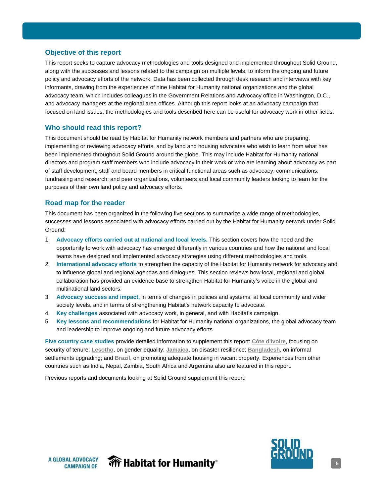#### <span id="page-4-0"></span>**Objective of this report**

This report seeks to capture advocacy methodologies and tools designed and implemented throughout Solid Ground, along with the successes and lessons related to the campaign on multiple levels, to inform the ongoing and future policy and advocacy efforts of the network. Data has been collected through desk research and interviews with key informants, drawing from the experiences of nine Habitat for Humanity national organizations and the global advocacy team, which includes colleagues in the Government Relations and Advocacy office in Washington, D.C., and advocacy managers at the regional area offices. Although this report looks at an advocacy campaign that focused on land issues, the methodologies and tools described here can be useful for advocacy work in other fields.

#### **Who should read this report?**

This document should be read by Habitat for Humanity network members and partners who are preparing, implementing or reviewing advocacy efforts, and by land and housing advocates who wish to learn from what has been implemented throughout Solid Ground around the globe. This may include Habitat for Humanity national directors and program staff members who include advocacy in their work or who are learning about advocacy as part of staff development; staff and board members in critical functional areas such as advocacy, communications, fundraising and research; and peer organizations, volunteers and local community leaders looking to learn for the purposes of their own land policy and advocacy efforts.

#### **Road map for the reader**

This document has been organized in the following five sections to summarize a wide range of methodologies, successes and lessons associated with advocacy efforts carried out by the Habitat for Humanity network under Solid Ground:

- 1. **Advocacy efforts carried out at national and local levels.** This section covers how the need and the opportunity to work with advocacy has emerged differently in various countries and how the national and local teams have designed and implemented advocacy strategies using different methodologies and tools.
- 2. **International advocacy efforts** to strengthen the capacity of the Habitat for Humanity network for advocacy and to influence global and regional agendas and dialogues. This section reviews how local, regional and global collaboration has provided an evidence base to strengthen Habitat for Humanity's voice in the global and multinational land sectors.
- 3. **Advocacy success and impact,** in terms of changes in policies and systems, at local community and wider society levels, and in terms of strengthening Habitat's network capacity to advocate.
- 4. **Key challenges** associated with advocacy work, in general, and with Habitat's campaign.
- 5. **Key lessons and recommendations** for Habitat for Humanity national organizations, the global advocacy team and leadership to improve ongoing and future advocacy efforts.

**Five country case studies** provide detailed information to supplement this report: **[Côte d'Ivoire](http://solidgroundcampaign.org/sites/default/files/02_case_study_-_tenure_security_-_cote_d-ivoire_format2.pdf)**, focusing on security of tenure; **[Lesotho](http://solidgroundcampaign.org/sites/default/files/03_case_study_-_gender_-_lesotho_-_v02_format2.pdf)**, on gender equality; **[Jamaica](http://solidgroundcampaign.org/sites/default/files/05_case_study_-_disaster_resilience_-_jamaica_-_v02_format2.pdf)**, on disaster resilience; **[Bangladesh](http://solidgroundcampaign.org/sites/default/files/04_case_study_-_slum_upgrading_-_bangladesh_-_format2.pdf)**, on informal settlements upgrading; and **[Brazil](http://solidgroundcampaign.org/sites/default/files/06_case_study_-_vacant_property_-_brazil_-_format2.pdf)**, on promoting adequate housing in vacant property. Experiences from other countries such as India, Nepal, Zambia, South Africa and Argentina also are featured in this report.

Previous reports and documents looking at Solid Ground supplement this report.



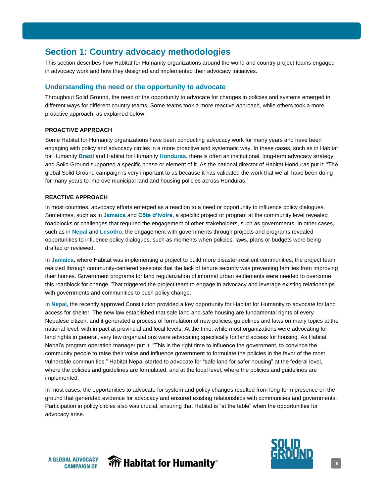# <span id="page-5-0"></span>**Section 1: Country advocacy methodologies**

This section describes how Habitat for Humanity organizations around the world and country project teams engaged in advocacy work and how they designed and implemented their advocacy initiatives.

#### **Understanding the need or the opportunity to advocate**

Throughout Solid Ground, the need or the opportunity to advocate for changes in policies and systems emerged in different ways for different country teams. Some teams took a more reactive approach, while others took a more proactive approach, as explained below.

#### **PROACTIVE APPROACH**

Some Habitat for Humanity organizations have been conducting advocacy work for many years and have been engaging with policy and advocacy circles in a more proactive and systematic way. In these cases, such as in Habitat for Humanity **Brazil** and Habitat for Humanity **Honduras**, there is often an institutional, long-term advocacy strategy, and Solid Ground supported a specific phase or element of it. As the national director of Habitat Honduras put it: "The global Solid Ground campaign is very important to us because it has validated the work that we all have been doing for many years to improve municipal land and housing policies across Honduras."

#### **REACTIVE APPROACH**

In most countries, advocacy efforts emerged as a reaction to a need or opportunity to influence policy dialogues. Sometimes, such as in **Jamaica** and **Côte d'Ivoire**, a specific project or program at the community level revealed roadblocks or challenges that required the engagement of other stakeholders, such as governments. In other cases, such as in **Nepal** and **Lesotho**, the engagement with governments through projects and programs revealed opportunities to influence policy dialogues, such as moments when policies, laws, plans or budgets were being drafted or reviewed.

In **Jamaica**, where Habitat was implementing a project to build more disaster-resilient communities, the project team realized through community-centered sessions that the lack of tenure security was preventing families from improving their homes. Government programs for land regularization of informal urban settlements were needed to overcome this roadblock for change. That triggered the project team to engage in advocacy and leverage existing relationships with governments and communities to push policy change.

In **Nepal**, the recently approved Constitution provided a key opportunity for Habitat for Humanity to advocate for land access for shelter. The new law established that safe land and safe housing are fundamental rights of every Nepalese citizen, and it generated a process of formulation of new policies, guidelines and laws on many topics at the national level, with impact at provincial and local levels. At the time, while most organizations were advocating for land rights in general, very few organizations were advocating specifically for land access for housing. As Habitat Nepal's program operation manager put it: "This is the right time to influence the government, to convince the community people to raise their voice and influence government to formulate the policies in the favor of the most vulnerable communities." Habitat Nepal started to advocate for "safe land for safer housing" at the federal level, where the policies and guidelines are formulated, and at the local level, where the policies and guidelines are implemented.

In most cases, the opportunities to advocate for system and policy changes resulted from long-term presence on the ground that generated evidence for advocacy and ensured existing relationships with communities and governments. Participation in policy circles also was crucial, ensuring that Habitat is "at the table" when the opportunities for advocacy arise.



**Wr Habitat for Humanity**®

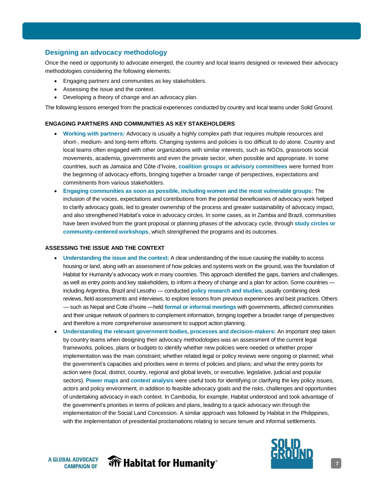#### <span id="page-6-0"></span>**Designing an advocacy methodology**

Once the need or opportunity to advocate emerged, the country and local teams designed or reviewed their advocacy methodologies considering the following elements:

- Engaging partners and communities as key stakeholders.
- Assessing the issue and the context.
- Developing a theory of change and an advocacy plan.

The following lessons emerged from the practical experiences conducted by country and local teams under Solid Ground.

#### **ENGAGING PARTNERS AND COMMUNITIES AS KEY STAKEHOLDERS**

- **Working with partners:** Advocacy is usually a highly complex path that requires multiple resources and short-, medium- and long-term efforts. Changing systems and policies is too difficult to do alone. Country and local teams often engaged with other organizations with similar interests, such as NGOs, grassroots social movements, academia, governments and even the private sector, when possible and appropriate. In some countries, such as Jamaica and Côte d'Ivoire, **coalition groups or advisory committees** were formed from the beginning of advocacy efforts, bringing together a broader range of perspectives, expectations and commitments from various stakeholders.
- **Engaging communities as soon as possible, including women and the most vulnerable groups:** The inclusion of the voices, expectations and contributions from the potential beneficiaries of advocacy work helped to clarify advocacy goals, led to greater ownership of the process and greater sustainability of advocacy impact, and also strengthened Habitat's voice in advocacy circles. In some cases, as in Zambia and Brazil, communities have been involved from the grant proposal or planning phases of the advocacy cycle, through **study circles or community-centered workshops**, which strengthened the programs and its outcomes.

#### **ASSESSING THE ISSUE AND THE CONTEXT**

- **Understanding the issue and the context:** A clear understanding of the issue causing the inability to access housing or land, along with an assessment of how policies and systems work on the ground, was the foundation of Habitat for Humanity's advocacy work in many countries. This approach identified the gaps, barriers and challenges, as well as entry points and key stakeholders, to inform a theory of change and a plan for action. Some countries including Argentina, Brazil and Lesotho — conducted **policy research and studies**, usually combining desk reviews, field assessments and interviews, to explore lessons from previous experiences and best practices. Others — such as Nepal and Cote d'Ivoire —held **formal or informal meetings** with governments, affected communities and their unique network of partners to complement information, bringing together a broader range of perspectives and therefore a more comprehensive assessment to support action planning.
- **Understanding the relevant government bodies, processes and decision-makers:** An important step taken by country teams when designing their advocacy methodologies was an assessment of the current legal frameworks, policies, plans or budgets to identify whether new policies were needed or whether proper implementation was the main constraint; whether related legal or policy reviews were ongoing or planned; what the government's capacities and priorities were in terms of policies and plans; and what the entry points for action were (local, district, country, regional and global levels, or executive, legislative, judicial and popular sectors). **Power maps** and **context analysis** were useful tools for identifying or clarifying the key policy issues, actors and policy environment, in addition to feasible advocacy goals and the risks, challenges and opportunities of undertaking advocacy in each context. In Cambodia, for example, Habitat understood and took advantage of the government's priorities in terms of policies and plans, leading to a quick advocacy win through the implementation of the Social Land Concession. A similar approach was followed by Habitat in the Philippines, with the implementation of presidential proclamations relating to secure tenure and informal settlements.





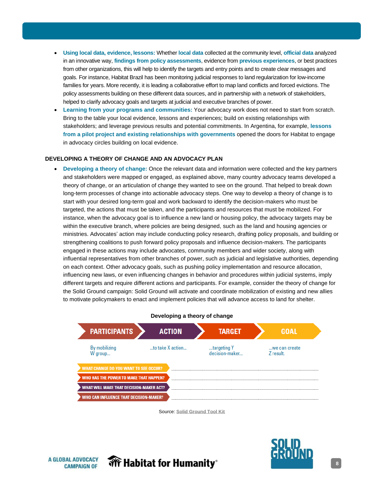- **Using local data, evidence, lessons:** Whether **local data** collected at the community level, **official data** analyzed in an innovative way, **findings from policy assessments**, evidence from **previous experiences**, or best practices from other organizations, this will help to identify the targets and entry points and to create clear messages and goals. For instance, Habitat Brazil has been monitoring judicial responses to land regularization for low-income families for years. More recently, it is leading a collaborative effort to map land conflicts and forced evictions. The policy assessments building on these different data sources, and in partnership with a network of stakeholders, helped to clarify advocacy goals and targets at judicial and executive branches of power.
- **Learning from your programs and communities:** Your advocacy work does not need to start from scratch. Bring to the table your local evidence, lessons and experiences; build on existing relationships with stakeholders; and leverage previous results and potential commitments. In Argentina, for example, **lessons from a pilot project and existing relationships with governments** opened the doors for Habitat to engage in advocacy circles building on local evidence.

#### **DEVELOPING A THEORY OF CHANGE AND AN ADVOCACY PLAN**

• **Developing a theory of change:** Once the relevant data and information were collected and the key partners and stakeholders were mapped or engaged, as explained above, many country advocacy teams developed a theory of change, or an articulation of change they wanted to see on the ground. That helped to break down long-term processes of change into actionable advocacy steps. One way to develop a theory of change is to start with your desired long-term goal and work backward to identify the decision-makers who must be targeted, the actions that must be taken, and the participants and resources that must be mobilized. For instance, when the advocacy goal is to influence a new land or housing policy, the advocacy targets may be within the executive branch, where policies are being designed, such as the land and housing agencies or ministries. Advocates' action may include conducting policy research, drafting policy proposals, and building or strengthening coalitions to push forward policy proposals and influence decision-makers. The participants engaged in these actions may include advocates, community members and wider society, along with influential representatives from other branches of power, such as judicial and legislative authorities, depending on each context. Other advocacy goals, such as pushing policy implementation and resource allocation, influencing new laws, or even influencing changes in behavior and procedures within judicial systems, imply different targets and require different actions and participants. For example, consider the theory of change for the Solid Ground campaign: Solid Ground will activate and coordinate mobilization of existing and new allies to motivate policymakers to enact and implement policies that will advance access to land for shelter.



Source: **[Solid Ground Tool Kit](http://solidgroundcampaign.org/sites/default/files/solid_ground_tool_kit.pdf)**

**A GLOBAL ADVOCACY CAMPAIGN OF** 





**8**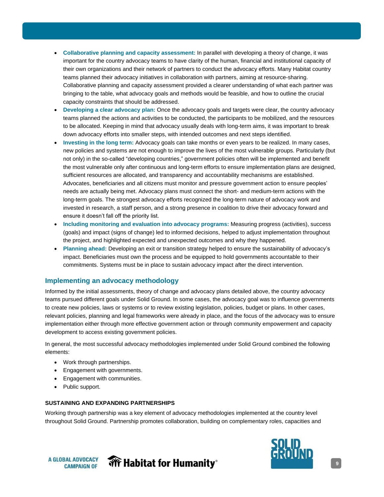- <span id="page-8-0"></span>• **Collaborative planning and capacity assessment:** In parallel with developing a theory of change, it was important for the country advocacy teams to have clarity of the human, financial and institutional capacity of their own organizations and their network of partners to conduct the advocacy efforts. Many Habitat country teams planned their advocacy initiatives in collaboration with partners, aiming at resource-sharing. Collaborative planning and capacity assessment provided a clearer understanding of what each partner was bringing to the table, what advocacy goals and methods would be feasible, and how to outline the crucial capacity constraints that should be addressed.
- **Developing a clear advocacy plan:** Once the advocacy goals and targets were clear, the country advocacy teams planned the actions and activities to be conducted, the participants to be mobilized, and the resources to be allocated. Keeping in mind that advocacy usually deals with long-term aims, it was important to break down advocacy efforts into smaller steps, with intended outcomes and next steps identified.
- **Investing in the long term:** Advocacy goals can take months or even years to be realized. In many cases, new policies and systems are not enough to improve the lives of the most vulnerable groups. Particularly (but not only) in the so-called "developing countries," government policies often will be implemented and benefit the most vulnerable only after continuous and long-term efforts to ensure implementation plans are designed, sufficient resources are allocated, and transparency and accountability mechanisms are established. Advocates, beneficiaries and all citizens must monitor and pressure government action to ensure peoples' needs are actually being met. Advocacy plans must connect the short- and medium-term actions with the long-term goals. The strongest advocacy efforts recognized the long-term nature of advocacy work and invested in research, a staff person, and a strong presence in coalition to drive their advocacy forward and ensure it doesn't fall off the priority list.
- **Including monitoring and evaluation into advocacy programs:** Measuring progress (activities), success (goals) and impact (signs of change) led to informed decisions, helped to adjust implementation throughout the project, and highlighted expected and unexpected outcomes and why they happened.
- **Planning ahead:** Developing an exit or transition strategy helped to ensure the sustainability of advocacy's impact. Beneficiaries must own the process and be equipped to hold governments accountable to their commitments. Systems must be in place to sustain advocacy impact after the direct intervention.

#### **Implementing an advocacy methodology**

Informed by the initial assessments, theory of change and advocacy plans detailed above, the country advocacy teams pursued different goals under Solid Ground. In some cases, the advocacy goal was to influence governments to create new policies, laws or systems or to review existing legislation, policies, budget or plans. In other cases, relevant policies, planning and legal frameworks were already in place, and the focus of the advocacy was to ensure implementation either through more effective government action or through community empowerment and capacity development to access existing government policies.

In general, the most successful advocacy methodologies implemented under Solid Ground combined the following elements:

- Work through partnerships.
- Engagement with governments.
- Engagement with communities.
- Public support.

#### **SUSTAINING AND EXPANDING PARTNERSHIPS**

Working through partnership was a key element of advocacy methodologies implemented at the country level throughout Solid Ground. Partnership promotes collaboration, building on complementary roles, capacities and





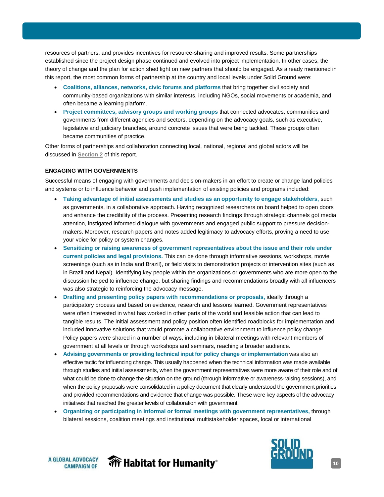resources of partners, and provides incentives for resource-sharing and improved results. Some partnerships established since the project design phase continued and evolved into project implementation. In other cases, the theory of change and the plan for action shed light on new partners that should be engaged. As already mentioned in this report, the most common forms of partnership at the country and local levels under Solid Ground were:

- **Coalitions, alliances, networks, civic forums and platforms** that bring together civil society and community-based organizations with similar interests, including NGOs, social movements or academia, and often became a learning platform.
- **Project committees, advisory groups and working groups** that connected advocates, communities and governments from different agencies and sectors, depending on the advocacy goals, such as executive, legislative and judiciary branches, around concrete issues that were being tackled. These groups often became communities of practice.

Other forms of partnerships and collaboration connecting local, national, regional and global actors will be discussed in **[Section 2](#page-13-1)** of this report.

#### **ENGAGING WITH GOVERNMENTS**

Successful means of engaging with governments and decision-makers in an effort to create or change land policies and systems or to influence behavior and push implementation of existing policies and programs included:

- **Taking advantage of initial assessments and studies as an opportunity to engage stakeholders,** such as governments, in a collaborative approach. Having recognized researchers on board helped to open doors and enhance the credibility of the process. Presenting research findings through strategic channels got media attention, instigated informed dialogue with governments and engaged public support to pressure decisionmakers. Moreover, research papers and notes added legitimacy to advocacy efforts, proving a need to use your voice for policy or system changes.
- **Sensitizing or raising awareness of government representatives about the issue and their role under current policies and legal provisions.** This can be done through informative sessions, workshops, movie screenings (such as in India and Brazil), or field visits to demonstration projects or intervention sites (such as in Brazil and Nepal). Identifying key people within the organizations or governments who are more open to the discussion helped to influence change, but sharing findings and recommendations broadly with all influencers was also strategic to reinforcing the advocacy message.
- **Drafting and presenting policy papers with recommendations or proposals,** ideally through a participatory process and based on evidence, research and lessons learned. Government representatives were often interested in what has worked in other parts of the world and feasible action that can lead to tangible results. The initial assessment and policy position often identified roadblocks for implementation and included innovative solutions that would promote a collaborative environment to influence policy change. Policy papers were shared in a number of ways, including in bilateral meetings with relevant members of government at all levels or through workshops and seminars, reaching a broader audience.
- **Advising governments or providing technical input for policy change or implementation** was also an effective tactic for influencing change. This usually happened when the technical information was made available through studies and initial assessments, when the government representatives were more aware of their role and of what could be done to change the situation on the ground (through informative or awareness-raising sessions), and when the policy proposals were consolidated in a policy document that clearly understood the government priorities and provided recommendations and evidence that change was possible. These were key aspects of the advocacy initiatives that reached the greater levels of collaboration with government.
- **Organizing or participating in informal or formal meetings with government representatives,** through bilateral sessions, coalition meetings and institutional multistakeholder spaces, local or international





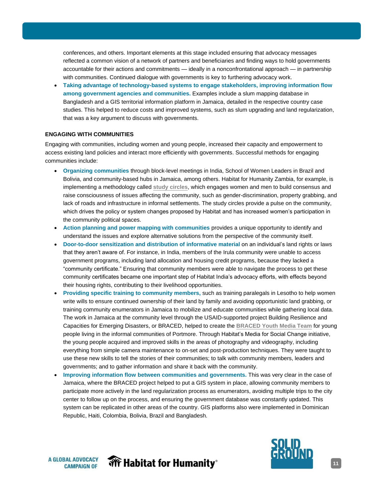conferences, and others. Important elements at this stage included ensuring that advocacy messages reflected a common vision of a network of partners and beneficiaries and finding ways to hold governments accountable for their actions and commitments — ideally in a nonconfrontational approach — in partnership with communities. Continued dialogue with governments is key to furthering advocacy work.

• **Taking advantage of technology-based systems to engage stakeholders, improving information flow among government agencies and communities.** Examples include a slum mapping database in Bangladesh and a GIS territorial information platform in Jamaica, detailed in the respective country case studies. This helped to reduce costs and improved systems, such as slum upgrading and land regularization, that was a key argument to discuss with governments.

#### **ENGAGING WITH COMMUNITIES**

Engaging with communities, including women and young people, increased their capacity and empowerment to access existing land policies and interact more efficiently with governments. Successful methods for engaging communities include:

- **Organizing communities** through block-level meetings in India, School of Women Leaders in Brazil and Bolivia, and community-based hubs in Jamaica, among others. Habitat for Humanity Zambia, for example, is implementing a methodology called **[study circles](http://solidgroundcampaign.org/blog/habitat-humanity-zambia%E2%80%99s-community-led-approach-increase-women%E2%80%99s-land-rights)**, which engages women and men to build consensus and raise consciousness of issues affecting the community, such as gender-discrimination, property grabbing, and lack of roads and infrastructure in informal settlements. The study circles provide a pulse on the community, which drives the policy or system changes proposed by Habitat and has increased women's participation in the community political spaces.
- **Action planning and power mapping with communities** provides a unique opportunity to identify and understand the issues and explore alternative solutions from the perspective of the community itself.
- **Door-to-door sensitization and distribution of informative material** on an individual's land rights or laws that they aren't aware of. For instance, in India, members of the Irula community were unable to access government programs, including land allocation and housing credit programs, because they lacked a "community certificate." Ensuring that community members were able to navigate the process to get these community certificates became one important step of Habitat India's advocacy efforts, with effects beyond their housing rights, contributing to their livelihood opportunities.
- **Providing specific training to community members,** such as training paralegals in Lesotho to help women write wills to ensure continued ownership of their land by family and avoiding opportunistic land grabbing, or training community enumerators in Jamaica to mobilize and educate communities while gathering local data. The work in Jamaica at the community level through the USAID-supported project Building Resilience and Capacities for Emerging Disasters, or BRACED, helped to create the **[BRACED Youth Media Team](http://solidgroundcampaign.org/blog/youth-center-reflections-youth-leader)** for young people living in the informal communities of Portmore. Through Habitat's Media for Social Change initiative, the young people acquired and improved skills in the areas of photography and videography, including everything from simple camera maintenance to on-set and post-production techniques. They were taught to use these new skills to tell the stories of their communities; to talk with community members, leaders and governments; and to gather information and share it back with the community.
- **Improving information flow between communities and governments.** This was very clear in the case of Jamaica, where the BRACED project helped to put a GIS system in place, allowing community members to participate more actively in the land regularization process as enumerators, avoiding multiple trips to the city center to follow up on the process, and ensuring the government database was constantly updated. This system can be replicated in other areas of the country. GIS platforms also were implemented in Dominican Republic, Haiti, Colombia, Bolivia, Brazil and Bangladesh.





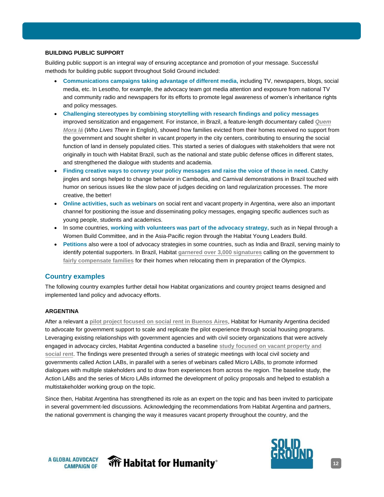#### <span id="page-11-0"></span>**BUILDING PUBLIC SUPPORT**

Building public support is an integral way of ensuring acceptance and promotion of your message. Successful methods for building public support throughout Solid Ground included:

- **Communications campaigns taking advantage of different media,** including TV, newspapers, blogs, social media, etc. In Lesotho, for example, the advocacy team got media attention and exposure from national TV and community radio and newspapers for its efforts to promote legal awareness of women's inheritance rights and policy messages.
- **Challenging stereotypes by combining storytelling with research findings and policy messages** improved sensitization and engagement. For instance, in Brazil, a feature-length documentary called *[Quem](http://solidgroundcampaign.org/blog/who-lives-there-documentary-about-families-facing-eviction) [Mora lá](http://solidgroundcampaign.org/blog/who-lives-there-documentary-about-families-facing-eviction)* (*Who Lives There* in English), showed how families evicted from their homes received no support from the government and sought shelter in vacant property in the city centers, contributing to ensuring the social function of land in densely populated cities. This started a series of dialogues with stakeholders that were not originally in touch with Habitat Brazil, such as the national and state public defense offices in different states, and strengthened the dialogue with students and academia.
- **Finding creative ways to convey your policy messages and raise the voice of those in need.** Catchy jingles and songs helped to change behavior in Cambodia, and Carnival demonstrations in Brazil touched with humor on serious issues like the slow pace of judges deciding on land regularization processes. The more creative, the better!
- **Online activities, such as webinars** on social rent and vacant property in Argentina, were also an important channel for positioning the issue and disseminating policy messages, engaging specific audiences such as young people, students and academics.
- In some countries, **working with volunteers was part of the advocacy strategy,** such as in Nepal through a Women Build Committee, and in the Asia-Pacific region through the Habitat Young Leaders Build.
- **Petitions** also were a tool of advocacy strategies in some countries, such as India and Brazil, serving mainly to identify potential supporters. In Brazil, Habitat **garnered over [3,000 signatures](http://solidgroundcampaign.org/blog/what-do-big-events-really-mean-country)** calling on the government to **[fairly compensate families](http://www.thisisplace.org/i/?id=fd7dbb27-0dc9-4151-a72f-9750e6f1e39a)** for their homes when relocating them in preparation of the Olympics.

#### **Country examples**

The following country examples further detail how Habitat organizations and country project teams designed and implemented land policy and advocacy efforts.

#### **ARGENTINA**

After a relevant a **[pilot project focused on](https://issuu.com/hphargentina/docs/alquileres_justos._soluciones_urban_0778b7de975e77) social rent in Buenos Aires**, Habitat for Humanity Argentina decided to advocate for government support to scale and replicate the pilot experience through social housing programs. Leveraging existing relationships with government agencies and with civil society organizations that were actively engaged in advocacy circles, Habitat Argentina conducted a baseline **[study focused on vacant property and](https://issuu.com/hphargentina/docs/estudio_hpha_cels_2018)  [social rent](https://issuu.com/hphargentina/docs/estudio_hpha_cels_2018)**. The findings were presented through a series of strategic meetings with local civil society and governments called Action LABs, in parallel with a series of webinars called Micro LABs, to promote informed dialogues with multiple stakeholders and to draw from experiences from across the region. The baseline study, the Action LABs and the series of Micro LABs informed the development of policy proposals and helped to establish a multistakeholder working group on the topic.

Since then, Habitat Argentina has strengthened its role as an expert on the topic and has been invited to participate in several government-led discussions. Acknowledging the recommendations from Habitat Argentina and partners, the national government is changing the way it measures vacant property throughout the country, and the





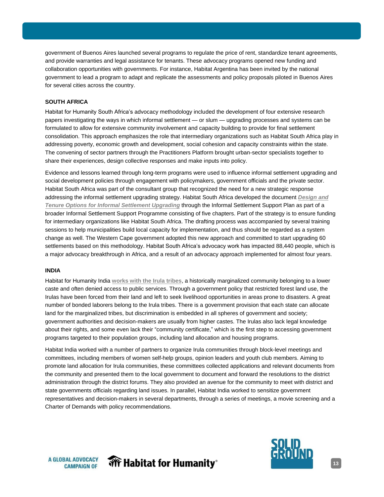government of Buenos Aires launched several programs to regulate the price of rent, standardize tenant agreements, and provide warranties and legal assistance for tenants. These advocacy programs opened new funding and collaboration opportunities with governments. For instance, Habitat Argentina has been invited by the national government to lead a program to adapt and replicate the assessments and policy proposals piloted in Buenos Aires for several cities across the country.

#### **SOUTH AFRICA**

Habitat for Humanity South Africa's advocacy methodology included the development of four extensive research papers investigating the ways in which informal settlement — or slum — upgrading processes and systems can be formulated to allow for extensive community involvement and capacity building to provide for final settlement consolidation. This approach emphasizes the role that intermediary organizations such as Habitat South Africa play in addressing poverty, economic growth and development, social cohesion and capacity constraints within the state. The convening of sector partners through the Practitioners Platform brought urban-sector specialists together to share their experiences, design collective responses and make inputs into policy.

Evidence and lessons learned through long-term programs were used to influence informal settlement upgrading and social development policies through engagement with policymakers, government officials and the private sector. Habitat South Africa was part of the consultant group that recognized the need for a new strategic response addressing the informal settlement upgrading strategy. Habitat South Africa developed the document *[Design and](https://app.box.com/s/pn8z9tpakiqiw76niseo149l8gv3vmq8)  [Tenure Options for Informal Settlement Upgrading](https://app.box.com/s/pn8z9tpakiqiw76niseo149l8gv3vmq8)* through the Informal Settlement Support Plan as part of a broader Informal Settlement Support Programme consisting of five chapters. Part of the strategy is to ensure funding for intermediary organizations like Habitat South Africa. The drafting process was accompanied by several training sessions to help municipalities build local capacity for implementation, and thus should be regarded as a system change as well. The Western Cape government adopted this new approach and committed to start upgrading 60 settlements based on this methodology. Habitat South Africa's advocacy work has impacted 88,440 people, which is a major advocacy breakthrough in Africa, and a result of an advocacy approach implemented for almost four years.

#### **INDIA**

Habitat for Humanity India **[works with the Irula tribes](http://solidgroundcampaign.org/blog/land-rights-deliver-increased-disaster-resilience-and-equality-irula-tribe)**, a historically marginalized community belonging to a lower caste and often denied access to public services. Through a government policy that restricted forest land use, the Irulas have been forced from their land and left to seek livelihood opportunities in areas prone to disasters. A great number of bonded laborers belong to the Irula tribes. There is a government provision that each state can allocate land for the marginalized tribes, but discrimination is embedded in all spheres of government and society; government authorities and decision-makers are usually from higher castes. The Irulas also lack legal knowledge about their rights, and some even lack their "community certificate," which is the first step to accessing government programs targeted to their population groups, including land allocation and housing programs.

Habitat India worked with a number of partners to organize Irula communities through block-level meetings and committees, including members of women self-help groups, opinion leaders and youth club members. Aiming to promote land allocation for Irula communities, these committees collected applications and relevant documents from the community and presented them to the local government to document and forward the resolutions to the district administration through the district forums. They also provided an avenue for the community to meet with district and state governments officials regarding land issues. In parallel, Habitat India worked to sensitize government representatives and decision-makers in several departments, through a series of meetings, a movie screening and a Charter of Demands with policy recommendations.



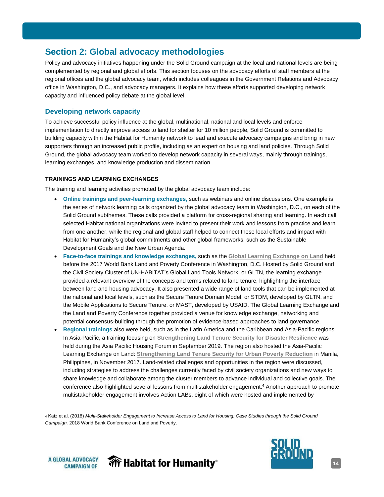# <span id="page-13-1"></span><span id="page-13-0"></span>**Section 2: Global advocacy methodologies**

Policy and advocacy initiatives happening under the Solid Ground campaign at the local and national levels are being complemented by regional and global efforts. This section focuses on the advocacy efforts of staff members at the regional offices and the global advocacy team, which includes colleagues in the Government Relations and Advocacy office in Washington, D.C., and advocacy managers. It explains how these efforts supported developing network capacity and influenced policy debate at the global level.

#### **Developing network capacity**

To achieve successful policy influence at the global, multinational, national and local levels and enforce implementation to directly improve access to land for shelter for 10 million people, Solid Ground is committed to building capacity within the Habitat for Humanity network to lead and execute advocacy campaigns and bring in new supporters through an increased public profile, including as an expert on housing and land policies. Through Solid Ground, the global advocacy team worked to develop network capacity in several ways, mainly through trainings, learning exchanges, and knowledge production and dissemination.

#### **TRAININGS AND LEARNING EXCHANGES**

The training and learning activities promoted by the global advocacy team include:

- **Online trainings and peer-learning exchanges,** such as webinars and online discussions. One example is the series of network learning calls organized by the global advocacy team in Washington, D.C., on each of the Solid Ground subthemes. These calls provided a platform for cross-regional sharing and learning. In each call, selected Habitat national organizations were invited to present their work and lessons from practice and learn from one another, while the regional and global staff helped to connect these local efforts and impact with Habitat for Humanity's global commitments and other global frameworks, such as the Sustainable Development Goals and the New Urban Agenda.
- **Face-to-face trainings and knowledge exchanges,** such as the **[Global Learning Exchange on Land](http://solidgroundcampaign.org/landconf2017)** held before the 2017 World Bank Land and Poverty Conference in Washington, D.C. Hosted by Solid Ground and the Civil Society Cluster of UN-HABITAT's Global Land Tools Network, or GLTN, the learning exchange provided a relevant overview of the concepts and terms related to land tenure, highlighting the interface between land and housing advocacy. It also presented a wide range of land tools that can be implemented at the national and local levels, such as the Secure Tenure Domain Model, or STDM, developed by GLTN, and the Mobile Applications to Secure Tenure, or MAST, developed by USAID. The Global Learning Exchange and the Land and Poverty Conference together provided a venue for knowledge exchange, networking and potential consensus-building through the promotion of evidence-based approaches to land governance.
- **Regional trainings** also were held, such as in the Latin America and the Caribbean and Asia-Pacific regions. In Asia-Pacific, a training focusing on **[Strengthening Land Tenure Security for](https://www.aphousingforum.org/event/4f8a7b00-ddfe-47dd-9913-8f0cb8717f0d/websitePage:ff0ce50c-c5cf-4115-bb8b-214e1a963ecf) Disaster Resilience** was held during the Asia Pacific Housing Forum in September 2019. The region also hosted the Asia-Pacific Learning Exchange on Land: **[Strengthening Land Tenure Security for Urban Poverty Reduction](http://solidgroundcampaign.org/aplearningexchange)** in Manila, Philippines, in November 2017. Land-related challenges and opportunities in the region were discussed, including strategies to address the challenges currently faced by civil society organizations and new ways to share knowledge and collaborate among the cluster members to advance individual and collective goals. The conference also highlighted several lessons from multistakeholder engagement. <sup>4</sup> Another approach to promote multistakeholder engagement involves Action LABs, eight of which were hosted and implemented by

<sup>4</sup> Katz et al. (2018) *Multi-Stakeholder Engagement to Increase Access to Land for Housing: Case Studies through the Solid Ground Campaign.* 2018 World Bank Conference on Land and Poverty.





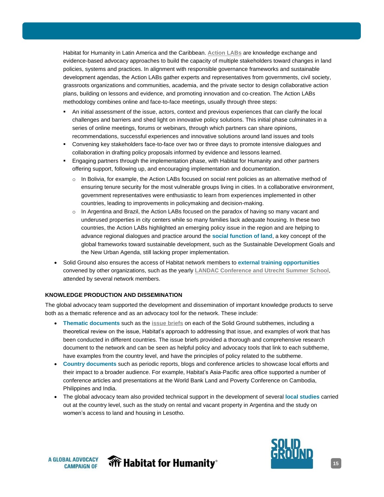Habitat for Humanity in Latin America and the Caribbean. **[Action LABs](https://www.suelourbano.org/labs-suelo-urbano/)** are knowledge exchange and evidence-based advocacy approaches to build the capacity of multiple stakeholders toward changes in land policies, systems and practices. In alignment with responsible governance frameworks and sustainable development agendas, the Action LABs gather experts and representatives from governments, civil society, grassroots organizations and communities, academia, and the private sector to design collaborative action plans, building on lessons and evidence, and promoting innovation and co-creation. The Action LABs methodology combines online and face-to-face meetings, usually through three steps:

- An initial assessment of the issue, actors, context and previous experiences that can clarify the local challenges and barriers and shed light on innovative policy solutions. This initial phase culminates in a series of online meetings, forums or webinars, through which partners can share opinions, recommendations, successful experiences and innovative solutions around land issues and tools
- Convening key stakeholders face-to-face over two or three days to promote intensive dialogues and collaboration in drafting policy proposals informed by evidence and lessons learned.
- Engaging partners through the implementation phase, with Habitat for Humanity and other partners offering support, following up, and encouraging implementation and documentation.
	- $\circ$  In Bolivia, for example, the Action LABs focused on social rent policies as an alternative method of ensuring tenure security for the most vulnerable groups living in cities. In a collaborative environment, government representatives were enthusiastic to learn from experiences implemented in other countries, leading to improvements in policymaking and decision-making.
	- In Argentina and Brazil, the Action LABs focused on the paradox of having so many vacant and underused properties in city centers while so many families lack adequate housing. In these two countries, the Action LABs highlighted an emerging policy issue in the region and are helping to advance regional dialogues and practice around the **social function of land**, a key concept of the global frameworks toward sustainable development, such as the Sustainable Development Goals and the New Urban Agenda, still lacking proper implementation.
- Solid Ground also ensures the access of Habitat network members to **external training opportunities** convened by other organizations, such as the yearly **[LANDAC Conference and](http://solidgroundcampaign.org/blog/landac-annual-international-conference-land-governance) Utrecht Summer School**, attended by several network members.

#### **KNOWLEDGE PRODUCTION AND DISSEMINATION**

The global advocacy team supported the development and dissemination of important knowledge products to serve both as a thematic reference and as an advocacy tool for the network. These include:

- **Thematic documents** such as the **[issue briefs](https://drive.google.com/open?id=1fh8vyX6lhb_qhz5n-qsqCpGSHiSMhpf-)** on each of the Solid Ground subthemes, including a theoretical review on the issue, Habitat's approach to addressing that issue, and examples of work that has been conducted in different countries. The issue briefs provided a thorough and comprehensive research document to the network and can be seen as helpful policy and advocacy tools that link to each subtheme, have examples from the country level, and have the principles of policy related to the subtheme.
- **Country documents** such as periodic reports, blogs and conference articles to showcase local efforts and their impact to a broader audience. For example, Habitat's Asia-Pacific area office supported a number of conference articles and presentations at the World Bank Land and Poverty Conference on Cambodia, Philippines and India.
- The global advocacy team also provided technical support in the development of several **local studies** carried out at the country level, such as the study on rental and vacant property in Argentina and the study on women's access to land and housing in Lesotho.



**Wr Habitat for Humanity**®

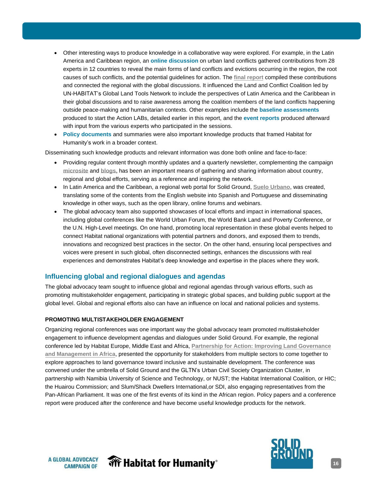- <span id="page-15-0"></span>• Other interesting ways to produce knowledge in a collaborative way were explored. For example, in the Latin America and Caribbean region, an **online discussion** on urban land conflicts gathered contributions from 28 experts in 12 countries to reveal the main forms of land conflicts and evictions occurring in the region, the root causes of such conflicts, and the potential guidelines for action. The **[final report](https://www.suelourbano.org/wp-content/uploads/2017/08/2017-report-urban-land-conflicts-suelo-urbano_spread.pdf)** compiled these contributions and connected the regional with the global discussions. It influenced the Land and Conflict Coalition led by UN-HABITAT's Global Land Tools Network to include the perspectives of Latin America and the Caribbean in their global discussions and to raise awareness among the coalition members of the land conflicts happening outside peace-making and humanitarian contexts. Other examples include the **baseline assessments** produced to start the Action LABs, detailed earlier in this report, and the **event reports** produced afterward with input from the various experts who participated in the sessions.
- **Policy documents** and summaries were also important knowledge products that framed Habitat for Humanity's work in a broader context.

Disseminating such knowledge products and relevant information was done both online and face-to-face:

- Providing regular content through monthly updates and a quarterly newsletter, complementing the campaign **[microsite](http://solidgroundcampaign.org/)** and **[blogs,](http://solidgroundcampaign.org/blog)** has been an important means of gathering and sharing information about country, regional and global efforts, serving as a reference and inspiring the network.
- In Latin America and the Caribbean, a regional web portal for Solid Ground, **[Suelo Urbano](http://www.suelourbano.org/)**, was created, translating some of the contents from the English website into Spanish and Portuguese and disseminating knowledge in other ways, such as the open library, online forums and webinars.
- The global advocacy team also supported showcases of local efforts and impact in international spaces, including global conferences like the World Urban Forum, the World Bank Land and Poverty Conference, or the U.N. High-Level meetings. On one hand, promoting local representation in these global events helped to connect Habitat national organizations with potential partners and donors, and exposed them to trends, innovations and recognized best practices in the sector. On the other hand, ensuring local perspectives and voices were present in such global, often disconnected settings, enhances the discussions with real experiences and demonstrates Habitat's deep knowledge and expertise in the places where they work.

#### **Influencing global and regional dialogues and agendas**

The global advocacy team sought to influence global and regional agendas through various efforts, such as promoting multistakeholder engagement, participating in strategic global spaces, and building public support at the global level. Global and regional efforts also can have an influence on local and national policies and systems.

#### **PROMOTING MULTISTAKEHOLDER ENGAGEMENT**

Organizing regional conferences was one important way the global advocacy team promoted multistakeholder engagement to influence development agendas and dialogues under Solid Ground. For example, the regional conference led by Habitat Europe, Middle East and Africa, **[Partnership for Action: Improving Land Governance](http://solidgroundcampaign.org/partnershipforaction)  [and Management in Africa](http://solidgroundcampaign.org/partnershipforaction)**, presented the opportunity for stakeholders from multiple sectors to come together to explore approaches to land governance toward inclusive and sustainable development. The conference was convened under the umbrella of Solid Ground and the GLTN's Urban Civil Society Organization Cluster, in partnership with Namibia University of Science and Technology, or NUST; the Habitat International Coalition, or HIC; the Huairou Commission; and Slum/Shack Dwellers International,or SDI, also engaging representatives from the Pan-African Parliament. It was one of the first events of its kind in the African region. Policy papers and a conference report were produced after the conference and have become useful knowledge products for the network.



**Wr Habitat for Humanity**®

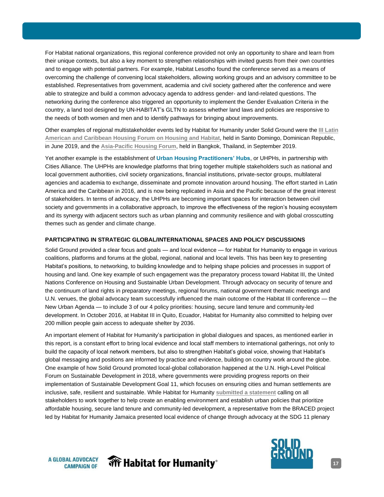For Habitat national organizations, this regional conference provided not only an opportunity to share and learn from their unique contexts, but also a key moment to strengthen relationships with invited guests from their own countries and to engage with potential partners. For example, Habitat Lesotho found the conference served as a means of overcoming the challenge of convening local stakeholders, allowing working groups and an advisory committee to be established. Representatives from government, academia and civil society gathered after the conference and were able to strategize and build a common advocacy agenda to address gender- and land-related questions. The networking during the conference also triggered an opportunity to implement the Gender Evaluation Criteria in the country, a land tool designed by UN-HABITAT's GLTN to assess whether land laws and policies are responsive to the needs of both women and men and to identify pathways for bringing about improvements.

Other examples of regional multistakeholder events led by Habitat for Humanity under Solid Ground were the **[III Latin](https://www.uhph.org/en/forum)  [American and Caribbean Housing Forum](https://www.uhph.org/en/forum) on Housing and Habitat**, held in Santo Domingo, Dominican Republic, in June 2019, and the **[Asia-Pacific Housing](https://www.aphousingforum.org/event/4f8a7b00-ddfe-47dd-9913-8f0cb8717f0d/summary) Forum**, held in Bangkok, Thailand, in September 2019.

Yet another example is the establishment of **Urban Housing Practitioners' Hubs**, or UHPHs, in partnership with Cities Alliance. The UHPHs are knowledge platforms that bring together multiple stakeholders such as national and local government authorities, civil society organizations, financial institutions, private-sector groups, multilateral agencies and academia to exchange, disseminate and promote innovation around housing. The effort started in Latin America and the Caribbean in 2016, and is now being replicated in Asia and the Pacific because of the great interest of stakeholders. In terms of advocacy, the UHPHs are becoming important spaces for interaction between civil society and governments in a collaborative approach, to improve the effectiveness of the region's housing ecosystem and its synergy with adjacent sectors such as urban planning and community resilience and with global crosscutting themes such as gender and climate change.

#### **PARTICIPATING IN STRATEGIC GLOBAL/INTERNATIONAL SPACES AND POLICY DISCUSSIONS**

Solid Ground provided a clear focus and goals — and local evidence — for Habitat for Humanity to engage in various coalitions, platforms and forums at the global, regional, national and local levels. This has been key to presenting Habitat's positions, to networking, to building knowledge and to helping shape policies and processes in support of housing and land. One key example of such engagement was the preparatory process toward Habitat III, the United Nations Conference on Housing and Sustainable Urban Development. Through advocacy on security of tenure and the continuum of land rights in preparatory meetings, regional forums, national government thematic meetings and U.N. venues, the global advocacy team successfully influenced the main outcome of the Habitat III conference — the New Urban Agenda — to include 3 of our 4 policy priorities: housing, secure land tenure and community-led development. In October 2016, at Habitat III in Quito, Ecuador, Habitat for Humanity also committed to helping over 200 million people gain access to adequate shelter by 2036.

An important element of Habitat for Humanity's participation in global dialogues and spaces, as mentioned earlier in this report, is a constant effort to bring local evidence and local staff members to international gatherings, not only to build the capacity of local network members, but also to strengthen Habitat's global voice, showing that Habitat's global messaging and positions are informed by practice and evidence, building on country work around the globe. One example of how Solid Ground promoted local-global collaboration happened at the U.N. High-Level Political Forum on Sustainable Development in 2018, where governments were providing progress reports on their implementation of Sustainable Development Goal 11, which focuses on ensuring cities and human settlements are inclusive, safe, resilient and sustainable. While Habitat for Humanity **[submitted a statement](http://solidgroundcampaign.org/blog/statement-habitat-humanity-2018-high-level-political-forum)** calling on all stakeholders to work together to help create an enabling environment and establish urban policies that prioritize affordable housing, secure land tenure and community-led development, a representative from the BRACED project led by Habitat for Humanity Jamaica presented local evidence of change through advocacy at the SDG 11 plenary

**A GLOBAL ADVOCACY CAMPAIGN OF** 

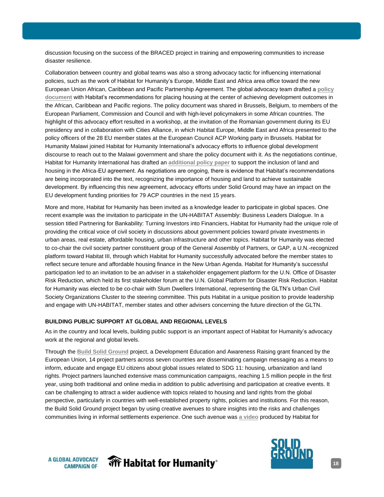discussion focusing on the success of the BRACED project in training and empowering communities to increase disaster resilience.

Collaboration between country and global teams was also a strong advocacy tactic for influencing international policies, such as the work of Habitat for Humanity's Europe, Middle East and Africa area office toward the new European Union African, Caribbean and Pacific Partnership Agreement. The global advocacy team drafted a **[policy](http://solidgroundcampaign.org/sites/default/files/euacpagreement.pdf)  [document](http://solidgroundcampaign.org/sites/default/files/euacpagreement.pdf)** with Habitat's recommendations for placing housing at the center of achieving development outcomes in the African, Caribbean and Pacific regions. The policy document was shared in Brussels, Belgium, to members of the European Parliament, Commission and Council and with high-level policymakers in some African countries. The highlight of this advocacy effort resulted in a workshop, at the invitation of the Romanian government during its EU presidency and in collaboration with Cities Alliance, in which Habitat Europe, Middle East and Africa presented to the policy officers of the 28 EU member states at the European Council ACP Working party in Brussels. Habitat for Humanity Malawi joined Habitat for Humanity International's advocacy efforts to influence global development discourse to reach out to the Malawi government and share the policy document with it. As the negotiations continue, Habitat for Humanity International has drafted an **[additional policy paper](http://solidgroundcampaign.org/sites/default/files/habitat_for_humanity_international_policy_recommendations_for_euacp_partnership_agreements_0.pdf)** to support the inclusion of land and housing in the Africa-EU agreement. As negotiations are ongoing, there is evidence that Habitat's recommendations are being incorporated into the text, recognizing the importance of housing and land to achieve sustainable development. By influencing this new agreement, advocacy efforts under Solid Ground may have an impact on the EU development funding priorities for 79 ACP countries in the next 15 years.

More and more, Habitat for Humanity has been invited as a knowledge leader to participate in global spaces. One recent example was the invitation to participate in the UN-HABITAT Assembly: Business Leaders Dialogue. In a session titled Partnering for Bankability: Turning Investors into Financiers, Habitat for Humanity had the unique role of providing the critical voice of civil society in discussions about government policies toward private investments in urban areas, real estate, affordable housing, urban infrastructure and other topics. Habitat for Humanity was elected to co-chair the civil society partner constituent group of the General Assembly of Partners, or GAP, a U.N.-recognized platform toward Habitat III, through which Habitat for Humanity successfully advocated before the member states to reflect secure tenure and affordable housing finance in the New Urban Agenda. Habitat for Humanity's successful participation led to an invitation to be an adviser in a stakeholder engagement platform for the U.N. Office of Disaster Risk Reduction, which held its first stakeholder forum at the U.N. Global Platform for Disaster Risk Reduction. Habitat for Humanity was elected to be co-chair with Slum Dwellers International, representing the GLTN's Urban Civil Society Organizations Cluster to the steering committee. This puts Habitat in a unique position to provide leadership and engage with UN-HABITAT, member states and other advisers concerning the future direction of the GLTN.

#### **BUILDING PUBLIC SUPPORT AT GLOBAL AND REGIONAL LEVELS**

As in the country and local levels, building public support is an important aspect of Habitat for Humanity's advocacy work at the regional and global levels.

Through the **[Build Solid Ground](http://solidgroundcampaign.org/blog/partners-european-union-countries-build-solid-ground)** project, a Development Education and Awareness Raising grant financed by the European Union, 14 project partners across seven countries are disseminating campaign messaging as a means to inform, educate and engage EU citizens about global issues related to SDG 11: housing, urbanization and land rights. Project partners launched extensive mass communication campaigns, reaching 1.5 million people in the first year, using both traditional and online media in addition to public advertising and participation at creative events. It can be challenging to attract a wider audience with topics related to housing and land rights from the global perspective, particularly in countries with well-established property rights, policies and institutions. For this reason, the Build Solid Ground project began by using creative avenues to share insights into the risks and challenges communities living in informal settlements experience. One such avenue was **[a video](http://vimeo.com/262430849)** produced by Habitat for

**A GLOBAL ADVOCACY CAMPAIGN OF** 



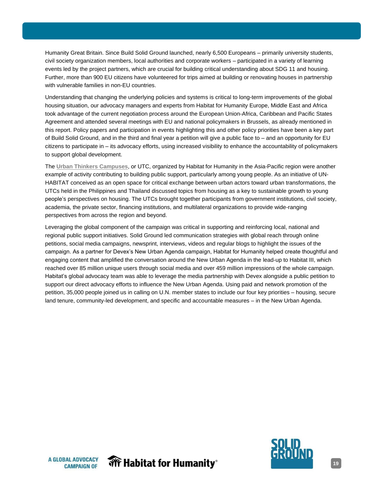Humanity Great Britain. Since Build Solid Ground launched, nearly 6,500 Europeans – primarily university students, civil society organization members, local authorities and corporate workers – participated in a variety of learning events led by the project partners, which are crucial for building critical understanding about SDG 11 and housing. Further, more than 900 EU citizens have volunteered for trips aimed at building or renovating houses in partnership with vulnerable families in non-EU countries.

Understanding that changing the underlying policies and systems is critical to long-term improvements of the global housing situation, our advocacy managers and experts from Habitat for Humanity Europe, Middle East and Africa took advantage of the current negotiation process around the European Union-Africa, Caribbean and Pacific States Agreement and attended several meetings with EU and national policymakers in Brussels, as already mentioned in this report. Policy papers and participation in events highlighting this and other policy priorities have been a key part of Build Solid Ground, and in the third and final year a petition will give a public face to – and an opportunity for EU citizens to participate in – its advocacy efforts, using increased visibility to enhance the accountability of policymakers to support global development.

The **[Urban Thinkers Campuses](http://www.worldurbancampaign.org/habitat-humanity-international-urban-thinkers-campus-asia-and-pacific-creating-platform)**, or UTC, organized by Habitat for Humanity in the Asia-Pacific region were another example of activity contributing to building public support, particularly among young people. As an initiative of UN-HABITAT conceived as an open space for critical exchange between urban actors toward urban transformations, the UTCs held in the Philippines and Thailand discussed topics from housing as a key to sustainable growth to young people's perspectives on housing. The UTCs brought together participants from government institutions, civil society, academia, the private sector, financing institutions, and multilateral organizations to provide wide-ranging perspectives from across the region and beyond.

Leveraging the global component of the campaign was critical in supporting and reinforcing local, national and regional public support initiatives. Solid Ground led communication strategies with global reach through online petitions, social media campaigns, newsprint, interviews, videos and regular blogs to highlight the issues of the campaign. As a partner for Devex's New Urban Agenda campaign, Habitat for Humanity helped create thoughtful and engaging content that amplified the conversation around the New Urban Agenda in the lead-up to Habitat III, which reached over 85 million unique users through social media and over 459 million impressions of the whole campaign. Habitat's global advocacy team was able to leverage the media partnership with Devex alongside a public petition to support our direct advocacy efforts to influence the New Urban Agenda. Using paid and network promotion of the petition, 35,000 people joined us in calling on U.N. member states to include our four key priorities – housing, secure land tenure, community-led development, and specific and accountable measures – in the New Urban Agenda.



**Wr Habitat for Humanity** 

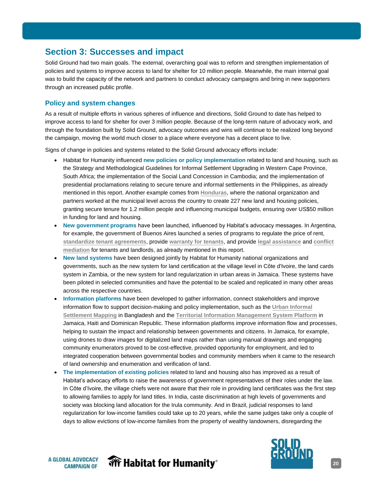# <span id="page-19-0"></span>**Section 3: Successes and impact**

Solid Ground had two main goals. The external, overarching goal was to reform and strengthen implementation of policies and systems to improve access to land for shelter for 10 million people. Meanwhile, the main internal goal was to build the capacity of the network and partners to conduct advocacy campaigns and bring in new supporters through an increased public profile.

#### **Policy and system changes**

As a result of multiple efforts in various spheres of influence and directions, Solid Ground to date has helped to improve access to land for shelter for over 3 million people. Because of the long-term nature of advocacy work, and through the foundation built by Solid Ground, advocacy outcomes and wins will continue to be realized long beyond the campaign, moving the world much closer to a place where everyone has a decent place to live.

Signs of change in policies and systems related to the Solid Ground advocacy efforts include:

- Habitat for Humanity influenced **new policies or policy implementation** related to land and housing, such as the Strategy and Methodological Guidelines for Informal Settlement Upgrading in Western Cape Province, South Africa; the implementation of the Social Land Concession in Cambodia; and the implementation of presidential proclamations relating to secure tenure and informal settlements in the Philippines, as already mentioned in this report. Another example comes from **[Honduras](http://solidgroundcampaign.org/blog/habitat-humanity-honduras-celebrates-land-and-housing-policies-wins-municipal-level)**, where the national organization and partners worked at the municipal level across the country to create 227 new land and housing policies, granting secure tenure for 1.2 million people and influencing municipal budgets, ensuring over US\$50 million in funding for land and housing.
- **New government programs** have been launched, influenced by Habitat's advocacy messages. In Argentina, for example, the government of Buenos Aires launched a series of programs to regulate the price of rent, **[standardize tenant agreements](https://vivienda.buenosaires.gob.ar/inquilinos/modelo-contrato-alquileres-vivienda#top)**, provide **[warranty for tenants](https://vivienda.buenosaires.gob.ar/GarantiaBA#top)**, and provide **[legal assistance](https://vivienda.buenosaires.gob.ar/alquilar/asistencia-legal#top)** and **[conflict](https://vivienda.buenosaires.gob.ar/alquilar/mediacion#top) [mediation](https://vivienda.buenosaires.gob.ar/alquilar/mediacion#top)** for tenants and landlords, as already mentioned in this report.
- **New land systems** have been designed jointly by Habitat for Humanity national organizations and governments, such as the new system for land certification at the village level in Côte d'Ivoire, the land cards system in Zambia, or the new system for land regularization in urban areas in Jamaica. These systems have been piloted in selected communities and have the potential to be scaled and replicated in many other areas across the respective countries.
- **Information platforms** have been developed to gather information, connect stakeholders and improve information flow to support decision-making and policy implementation, such as the **[Urban Informal](http://www.dnccgismap.com/Dashboard) [Settlement Mapping](http://www.dnccgismap.com/Dashboard)** in Bangladesh and the **[Territorial Information Management System Platform](http://mapa.suelourbano.org/frmlogin.aspx)** in Jamaica, Haiti and Dominican Republic. These information platforms improve information flow and processes, helping to sustain the impact and relationship between governments and citizens. In Jamaica, for example, using drones to draw images for digitalized land maps rather than using manual drawings and engaging community enumerators proved to be cost-effective, provided opportunity for employment, and led to integrated cooperation between governmental bodies and community members when it came to the research of land ownership and enumeration and verification of land.
- **The implementation of existing policies** related to land and housing also has improved as a result of Habitat's advocacy efforts to raise the awareness of government representatives of their roles under the law. In Côte d'Ivoire, the village chiefs were not aware that their role in providing land certificates was the first step to allowing families to apply for land titles. In India, caste discrimination at high levels of governments and society was blocking land allocation for the Irula community. And in Brazil, judicial responses to land regularization for low-income families could take up to 20 years, while the same judges take only a couple of days to allow evictions of low-income families from the property of wealthy landowners, disregarding the





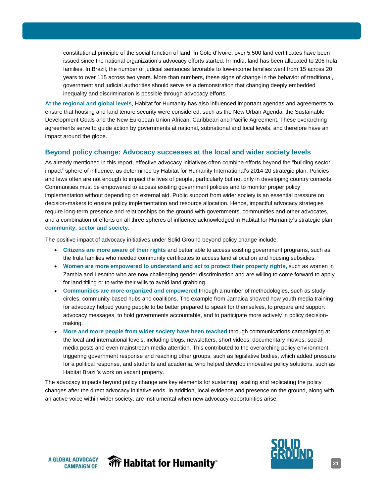<span id="page-20-0"></span>constitutional principle of the social function of land. In Côte d'Ivoire, over 5,500 land certificates have been issued since the national organization's advocacy efforts started. In India, land has been allocated to 206 Irula families. In Brazil, the number of judicial sentences favorable to low-income families went from 15 across 20 years to over 115 across two years. More than numbers, these signs of change in the behavior of traditional, government and judicial authorities should serve as a demonstration that changing deeply embedded inequality and discrimination is possible through advocacy efforts.

**At the regional and global levels**, Habitat for Humanity has also influenced important agendas and agreements to ensure that housing and land tenure security were considered, such as the New Urban Agenda, the Sustainable Development Goals and the New European Union African, Caribbean and Pacific Agreement. These overarching agreements serve to guide action by governments at national, subnational and local levels, and therefore have an impact around the globe.

#### **Beyond policy change: Advocacy successes at the local and wider society levels**

As already mentioned in this report, effective advocacy initiatives often combine efforts beyond the "building sector impact" sphere of influence, as determined by Habitat for Humanity International's 2014-20 strategic plan. Policies and laws often are not enough to impact the lives of people, particularly but not only in developing country contexts. Communities must be empowered to access existing government policies and to monitor proper policy implementation without depending on external aid. Public support from wider society is an essential pressure on decision-makers to ensure policy implementation and resource allocation. Hence, impactful advocacy strategies require long-term presence and relationships on the ground with governments, communities and other advocates, and a combination of efforts on all three spheres of influence acknowledged in Habitat for Humanity's strategic plan: **community, sector and society.**

The positive impact of advocacy initiatives under Solid Ground beyond policy change include:

- **Citizens are more aware of their rights** and better able to access existing government programs, such as the Irula families who needed community certificates to access land allocation and housing subsidies.
- **Women are more empowered to understand and act to protect their property rights,** such as women in Zambia and Lesotho who are now challenging gender discrimination and are willing to come forward to apply for land titling or to write their wills to avoid land grabbing.
- **Communities are more organized and empowered** through a number of methodologies, such as study circles, community-based hubs and coalitions. The example from Jamaica showed how youth media training for advocacy helped young people to be better prepared to speak for themselves, to prepare and support advocacy messages, to hold governments accountable, and to participate more actively in policy decisionmaking.
- **More and more people from wider society have been reached** through communications campaigning at the local and international levels, including blogs, newsletters, short videos, documentary movies, social media posts and even mainstream media attention. This contributed to the overarching policy environment, triggering government response and reaching other groups, such as legislative bodies, which added pressure for a political response, and students and academia, who helped develop innovative policy solutions, such as Habitat Brazil's work on vacant property.

The advocacy impacts beyond policy change are key elements for sustaining, scaling and replicating the policy changes after the direct advocacy initiative ends. In addition, local evidence and presence on the ground, along with an active voice within wider society, are instrumental when new advocacy opportunities arise.



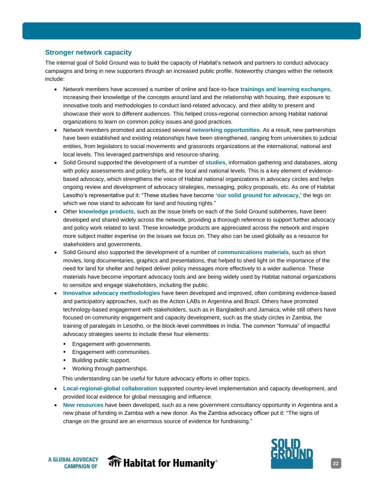#### <span id="page-21-0"></span>**Stronger network capacity**

The internal goal of Solid Ground was to build the capacity of Habitat's network and partners to conduct advocacy campaigns and bring in new supporters through an increased public profile. Noteworthy changes within the network include:

- Network members have accessed a number of online and face-to-face **trainings and learning exchanges**, increasing their knowledge of the concepts around land and the relationship with housing, their exposure to innovative tools and methodologies to conduct land-related advocacy, and their ability to present and showcase their work to different audiences. This helped cross-regional connection among Habitat national organizations to learn on common policy issues and good practices.
- Network members promoted and accessed several **networking opportunities**. As a result, new partnerships have been established and existing relationships have been strengthened, ranging from universities to judicial entities, from legislators to social movements and grassroots organizations at the international, national and local levels. This leveraged partnerships and resource-sharing.
- Solid Ground supported the development of a number of **studies**, information gathering and databases, along with policy assessments and policy briefs, at the local and national levels. This is a key element of evidencebased advocacy, which strengthens the voice of Habitat national organizations in advocacy circles and helps ongoing review and development of advocacy strategies, messaging, policy proposals, etc. As one of Habitat Lesotho's representative put it: "These studies have become **'our solid ground for advocacy,'** the legs on which we now stand to advocate for land and housing rights."
- Other **knowledge products**, such as the issue briefs on each of the Solid Ground subthemes, have been developed and shared widely across the network, providing a thorough reference to support further advocacy and policy work related to land. These knowledge products are appreciated across the network and inspire more subject matter expertise on the issues we focus on. They also can be used globally as a resource for stakeholders and governments.
- Solid Ground also supported the development of a number of **communications materials**, such as short movies, long documentaries, graphics and presentations, that helped to shed light on the importance of the need for land for shelter and helped deliver policy messages more effectively to a wider audience. These materials have become important advocacy tools and are being widely used by Habitat national organizations to sensitize and engage stakeholders, including the public.
- **Innovative advocacy methodologies** have been developed and improved, often combining evidence-based and participatory approaches, such as the Action LABs in Argentina and Brazil. Others have promoted technology-based engagement with stakeholders, such as in Bangladesh and Jamaica; while still others have focused on community engagement and capacity development, such as the study circles in Zambia, the training of paralegals in Lesotho, or the block-level committees in India. The common "formula" of impactful advocacy strategies seems to include these four elements:
	- Engagement with governments.
	- Engagement with communities.
	- Building public support.
	- Working through partnerships.

This understanding can be useful for future advocacy efforts in other topics.

**Wr Habitat for Humanity**®

- **Local-regional-global collaboration** supported country-level implementation and capacity development, and provided local evidence for global messaging and influence.
- **New resources** have been developed, such as a new government consultancy opportunity in Argentina and a new phase of funding in Zambia with a new donor. As the Zambia advocacy officer put it: "The signs of change on the ground are an enormous source of evidence for fundraising."



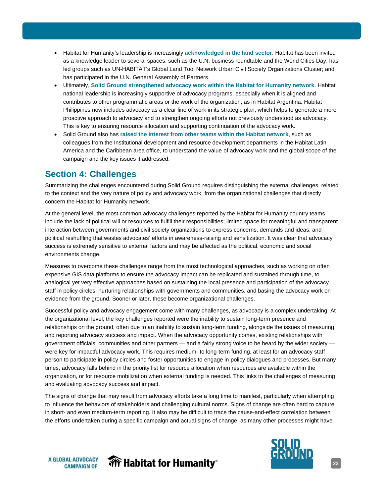- <span id="page-22-0"></span>• Habitat for Humanity's leadership is increasingly **acknowledged in the land sector**. Habitat has been invited as a knowledge leader to several spaces, such as the U.N. business roundtable and the World Cities Day; has led groups such as UN-HABITAT's Global Land Tool Network Urban Civil Society Organizations Cluster; and has participated in the U.N. General Assembly of Partners.
- Ultimately, **Solid Ground strengthened advocacy work within the Habitat for Humanity network**. Habitat national leadership is increasingly supportive of advocacy programs, especially when it is aligned and contributes to other programmatic areas or the work of the organization, as in Habitat Argentina. Habitat Philippines now includes advocacy as a clear line of work in its strategic plan, which helps to generate a more proactive approach to advocacy and to strengthen ongoing efforts not previously understood as advocacy. This is key to ensuring resource allocation and supporting continuation of the advocacy work.
- Solid Ground also has **raised the interest from other teams within the Habitat network**, such as colleagues from the Institutional development and resource development departments in the Habitat Latin America and the Caribbean area office, to understand the value of advocacy work and the global scope of the campaign and the key issues it addressed.

# **Section 4: Challenges**

Summarizing the challenges encountered during Solid Ground requires distinguishing the external challenges, related to the context and the very nature of policy and advocacy work, from the organizational challenges that directly concern the Habitat for Humanity network.

At the general level, the most common advocacy challenges reported by the Habitat for Humanity country teams include the lack of political will or resources to fulfill their responsibilities; limited space for meaningful and transparent interaction between governments and civil society organizations to express concerns, demands and ideas; and political reshuffling that wastes advocates' efforts in awareness-raising and sensitization. It was clear that advocacy success is extremely sensitive to external factors and may be affected as the political, economic and social environments change.

Measures to overcome these challenges range from the most technological approaches, such as working on often expensive GIS data platforms to ensure the advocacy impact can be replicated and sustained through time, to analogical yet very effective approaches based on sustaining the local presence and participation of the advocacy staff in policy circles, nurturing relationships with governments and communities, and basing the advocacy work on evidence from the ground. Sooner or later, these become organizational challenges.

Successful policy and advocacy engagement come with many challenges, as advocacy is a complex undertaking. At the organizational level, the key challenges reported were the inability to sustain long-term presence and relationships on the ground, often due to an inability to sustain long-term funding, alongside the issues of measuring and reporting advocacy success and impact. When the advocacy opportunity comes, existing relationships with government officials, communities and other partners — and a fairly strong voice to be heard by the wider society were key for impactful advocacy work. This requires medium- to long-term funding, at least for an advocacy staff person to participate in policy circles and foster opportunities to engage in policy dialogues and processes. But many times, advocacy falls behind in the priority list for resource allocation when resources are available within the organization, or for resource mobilization when external funding is needed. This links to the challenges of measuring and evaluating advocacy success and impact.

The signs of change that may result from advocacy efforts take a long time to manifest, particularly when attempting to influence the behaviors of stakeholders and challenging cultural norms. Signs of change are often hard to capture in short- and even medium-term reporting. It also may be difficult to trace the cause-and-effect correlation between the efforts undertaken during a specific campaign and actual signs of change, as many other processes might have

**A GLOBAL ADVOCACY CAMPAIGN OF** 



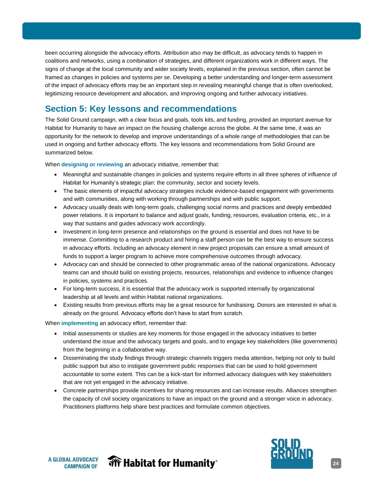<span id="page-23-0"></span>been occurring alongside the advocacy efforts. Attribution also may be difficult, as advocacy tends to happen in coalitions and networks, using a combination of strategies, and different organizations work in different ways. The signs of change at the local community and wider society levels, explained in the previous section, often cannot be framed as changes in policies and systems *per se*. Developing a better understanding and longer-term assessment of the impact of advocacy efforts may be an important step in revealing meaningful change that is often overlooked, legitimizing resource development and allocation, and improving ongoing and further advocacy initiatives.

# **Section 5: Key lessons and recommendations**

The Solid Ground campaign, with a clear focus and goals, tools kits, and funding, provided an important avenue for Habitat for Humanity to have an impact on the housing challenge across the globe. At the same time, it was an opportunity for the network to develop and improve understandings of a whole range of methodologies that can be used in ongoing and further advocacy efforts. The key lessons and recommendations from Solid Ground are summarized below.

When **designing or reviewing** an advocacy initiative, remember that:

- Meaningful and sustainable changes in policies and systems require efforts in all three spheres of influence of Habitat for Humanity's strategic plan: the community, sector and society levels.
- The basic elements of impactful advocacy strategies include evidence-based engagement with governments and with communities, along with working through partnerships and with public support.
- Advocacy usually deals with long-term goals, challenging social norms and practices and deeply embedded power relations. It is important to balance and adjust goals, funding, resources, evaluation criteria, etc., in a way that sustains and guides advocacy work accordingly.
- Investment in long-term presence and relationships on the ground is essential and does not have to be immense. Committing to a research product and hiring a staff person can be the best way to ensure success in advocacy efforts. Including an advocacy element in new project proposals can ensure a small amount of funds to support a larger program to achieve more comprehensive outcomes through advocacy.
- Advocacy can and should be connected to other programmatic areas of the national organizations. Advocacy teams can and should build on existing projects, resources, relationships and evidence to influence changes in policies, systems and practices.
- For long-term success, it is essential that the advocacy work is supported internally by organizational leadership at all levels and within Habitat national organizations.
- Existing results from previous efforts may be a great resource for fundraising. Donors are interested in what is already on the ground. Advocacy efforts don't have to start from scratch.

When **implementing** an advocacy effort, remember that:

- Initial assessments or studies are key moments for those engaged in the advocacy initiatives to better understand the issue and the advocacy targets and goals, and to engage key stakeholders (like governments) from the beginning in a collaborative way.
- Disseminating the study findings through strategic channels triggers media attention, helping not only to build public support but also to instigate government public responses that can be used to hold government accountable to some extent. This can be a kick-start for informed advocacy dialogues with key stakeholders that are not yet engaged in the advocacy initiative.
- Concrete partnerships provide incentives for sharing resources and can increase results. Alliances strengthen the capacity of civil society organizations to have an impact on the ground and a stronger voice in advocacy. Practitioners platforms help share best practices and formulate common objectives.